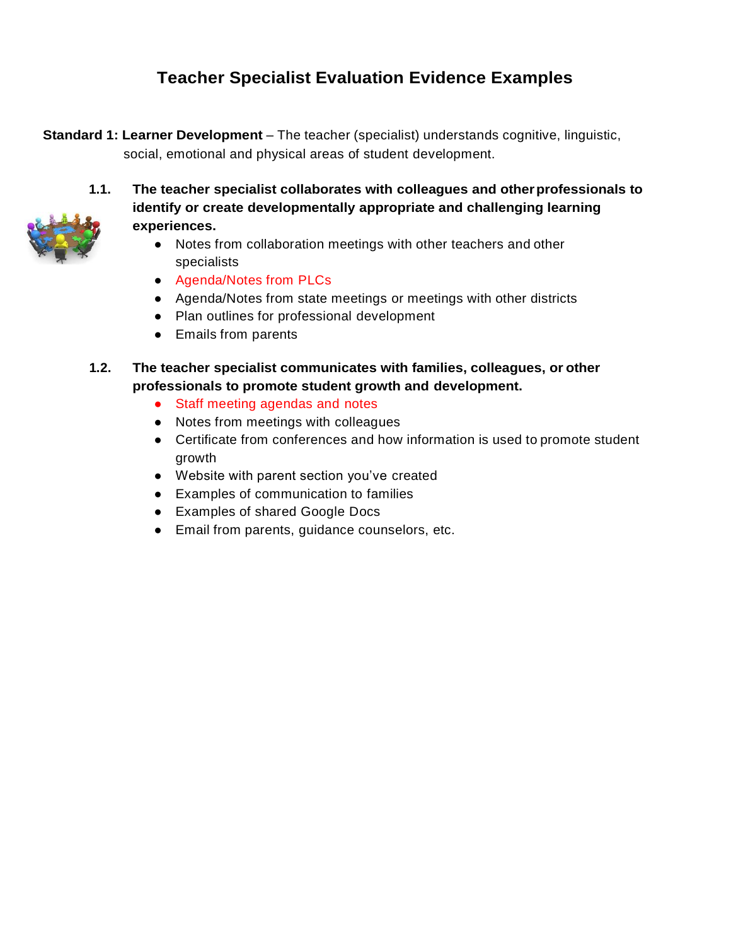# **Teacher Specialist Evaluation Evidence Examples**

**Standard 1: Learner Development** – The teacher (specialist) understands cognitive, linguistic, social, emotional and physical areas of student development.



- **1.1. The teacher specialist collaborates with colleagues and otherprofessionals to identify or create developmentally appropriate and challenging learning experiences.**
	- Notes from collaboration meetings with other teachers and other specialists
	- Agenda/Notes from PLCs
	- Agenda/Notes from state meetings or meetings with other districts
	- Plan outlines for professional development
	- Emails from parents
- **1.2. The teacher specialist communicates with families, colleagues, or other professionals to promote student growth and development.**
	- Staff meeting agendas and notes
	- Notes from meetings with colleagues
	- Certificate from conferences and how information is used to promote student growth
	- Website with parent section you've created
	- Examples of communication to families
	- Examples of shared Google Docs
	- Email from parents, guidance counselors, etc.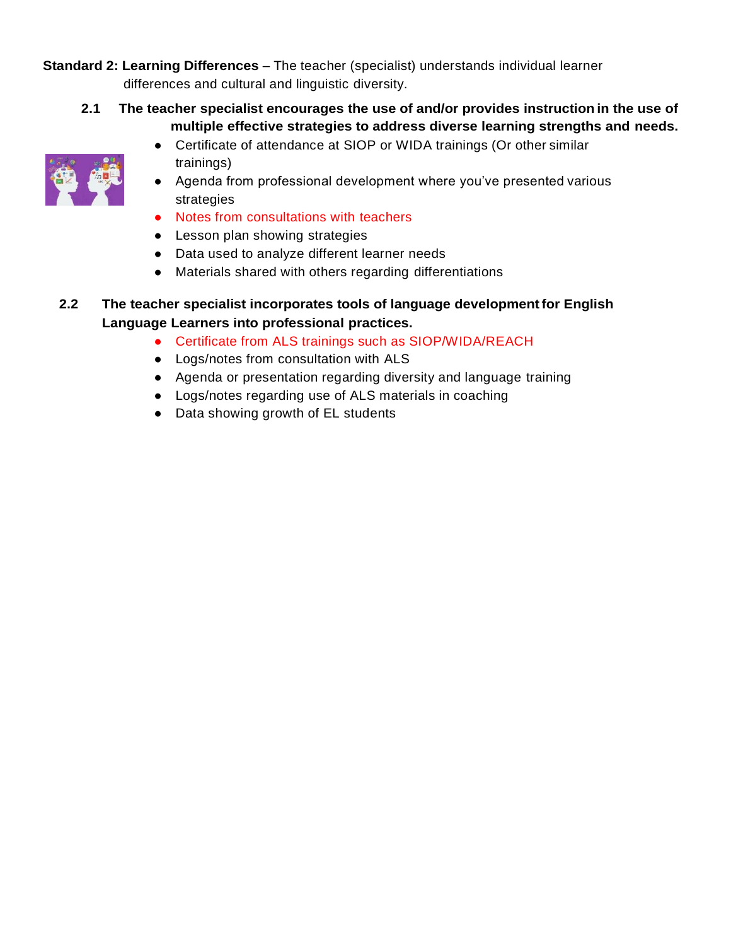**Standard 2: Learning Differences** – The teacher (specialist) understands individual learner differences and cultural and linguistic diversity.

**2.1 The teacher specialist encourages the use of and/or provides instruction in the use of multiple effective strategies to address diverse learning strengths and needs.**



- Certificate of attendance at SIOP or WIDA trainings (Or other similar trainings)
- Agenda from professional development where you've presented various strategies
- Notes from consultations with teachers
- Lesson plan showing strategies
- Data used to analyze different learner needs
- Materials shared with others regarding differentiations

## **2.2 The teacher specialist incorporates tools of language developmentfor English Language Learners into professional practices.**

- Certificate from ALS trainings such as SIOP/WIDA/REACH
- Logs/notes from consultation with ALS
- Agenda or presentation regarding diversity and language training
- Logs/notes regarding use of ALS materials in coaching
- Data showing growth of EL students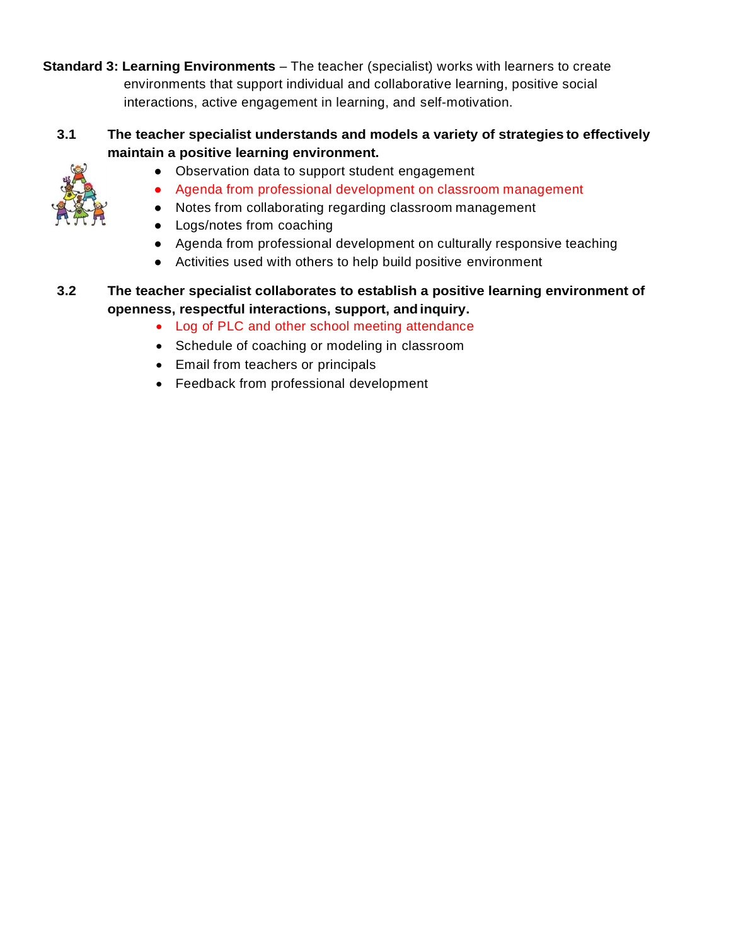**Standard 3: Learning Environments** – The teacher (specialist) works with learners to create environments that support individual and collaborative learning, positive social interactions, active engagement in learning, and self-motivation.

**3.1 The teacher specialist understands and models a variety of strategies to effectively maintain a positive learning environment.**



- Observation data to support student engagement
- Agenda from professional development on classroom management
- Notes from collaborating regarding classroom management
- Logs/notes from coaching
- Agenda from professional development on culturally responsive teaching
- Activities used with others to help build positive environment
- **3.2 The teacher specialist collaborates to establish a positive learning environment of openness, respectful interactions, support, andinquiry.**
	- Log of PLC and other school meeting attendance
	- Schedule of coaching or modeling in classroom
	- Email from teachers or principals
	- Feedback from professional development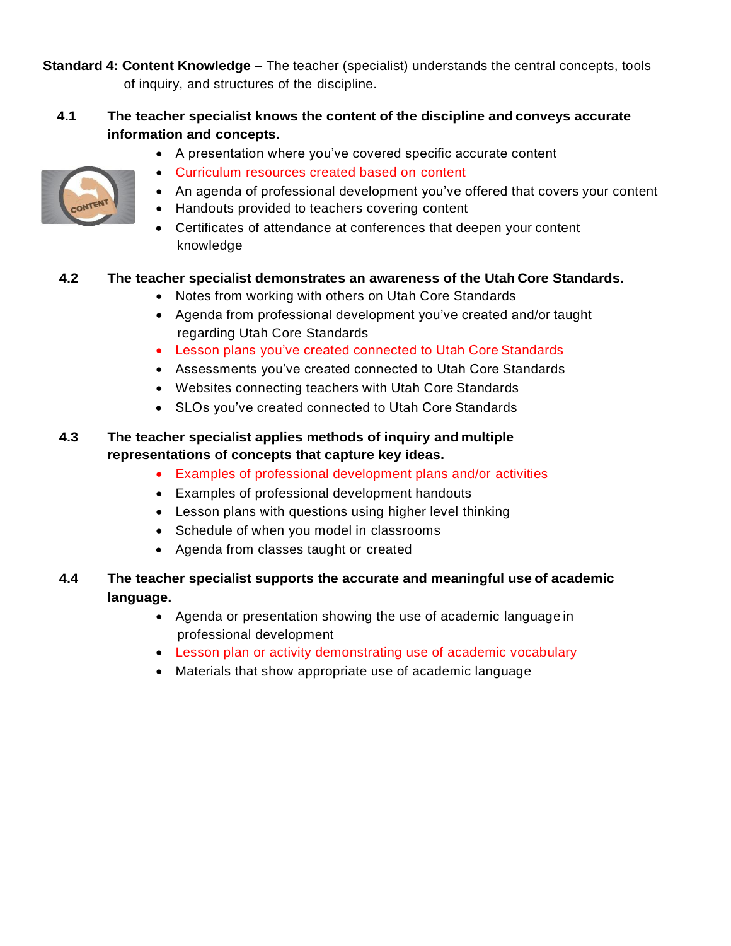**Standard 4: Content Knowledge** – The teacher (specialist) understands the central concepts, tools of inquiry, and structures of the discipline.

## **4.1 The teacher specialist knows the content of the discipline and conveys accurate information and concepts.**



- A presentation where you've covered specific accurate content
- Curriculum resources created based on content
- An agenda of professional development you've offered that covers your content
- Handouts provided to teachers covering content
- Certificates of attendance at conferences that deepen your content knowledge

#### **4.2 The teacher specialist demonstrates an awareness of the Utah Core Standards.**

- Notes from working with others on Utah Core Standards
- Agenda from professional development you've created and/or taught regarding Utah Core Standards
- Lesson plans you've created connected to Utah Core Standards
- Assessments you've created connected to Utah Core Standards
- Websites connecting teachers with Utah Core Standards
- SLOs you've created connected to Utah Core Standards

# **4.3 The teacher specialist applies methods of inquiry and multiple representations of concepts that capture key ideas.**

- Examples of professional development plans and/or activities
- Examples of professional development handouts
- Lesson plans with questions using higher level thinking
- Schedule of when you model in classrooms
- Agenda from classes taught or created
- **4.4 The teacher specialist supports the accurate and meaningful use of academic language.**
	- Agenda or presentation showing the use of academic language in professional development
	- Lesson plan or activity demonstrating use of academic vocabulary
	- Materials that show appropriate use of academic language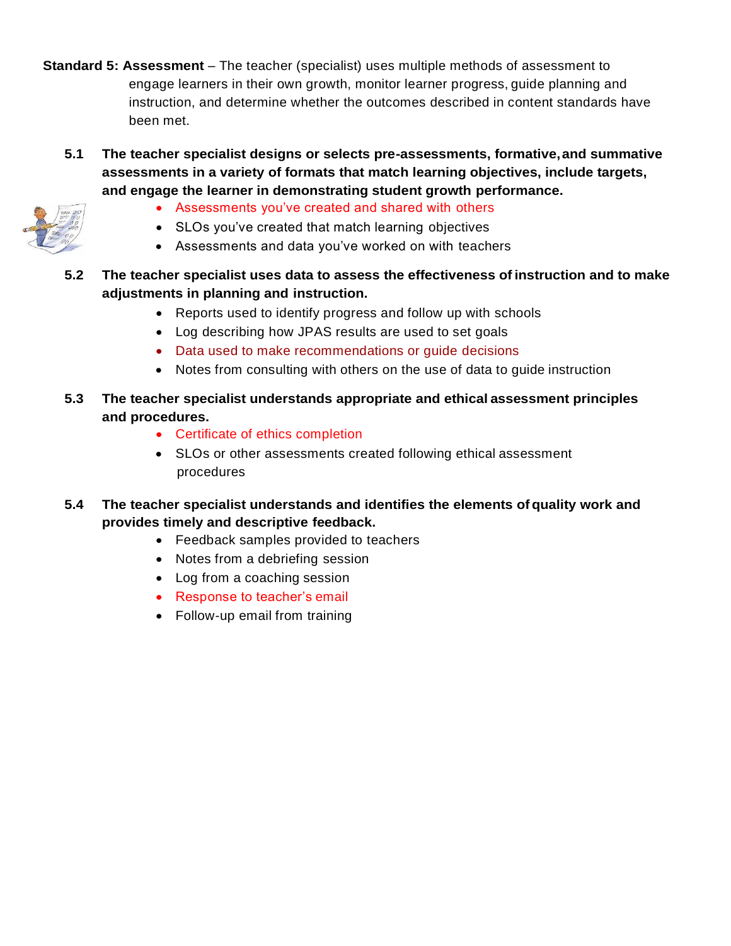- **Standard 5: Assessment**  The teacher (specialist) uses multiple methods of assessment to engage learners in their own growth, monitor learner progress, guide planning and instruction, and determine whether the outcomes described in content standards have been met.
	- **5.1 The teacher specialist designs or selects pre-assessments, formative,and summative assessments in a variety of formats that match learning objectives, include targets, and engage the learner in demonstrating student growth performance.**



- Assessments you've created and shared with others
- SLOs you've created that match learning objectives
- Assessments and data you've worked on with teachers
- **5.2 The teacher specialist uses data to assess the effectiveness of instruction and to make adjustments in planning and instruction.**
	- Reports used to identify progress and follow up with schools
	- Log describing how JPAS results are used to set goals
	- Data used to make recommendations or guide decisions
	- Notes from consulting with others on the use of data to guide instruction
- **5.3 The teacher specialist understands appropriate and ethical assessment principles and procedures.**
	- Certificate of ethics completion
	- SLOs or other assessments created following ethical assessment procedures
- **5.4 The teacher specialist understands and identifies the elements of quality work and provides timely and descriptive feedback.**
	- Feedback samples provided to teachers
	- Notes from a debriefing session
	- Log from a coaching session
	- Response to teacher's email
	- Follow-up email from training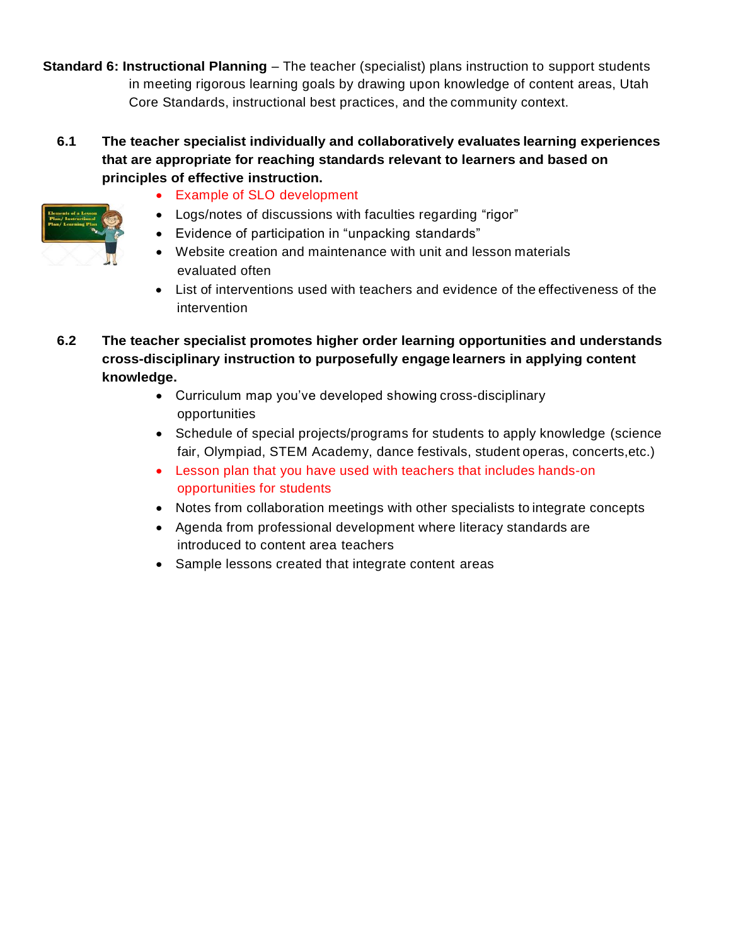**Standard 6: Instructional Planning** – The teacher (specialist) plans instruction to support students in meeting rigorous learning goals by drawing upon knowledge of content areas, Utah Core Standards, instructional best practices, and the community context.

**6.1 The teacher specialist individually and collaboratively evaluates learning experiences that are appropriate for reaching standards relevant to learners and based on principles of effective instruction.**



- Logs/notes of discussions with faculties regarding "rigor"
- Evidence of participation in "unpacking standards"
- Website creation and maintenance with unit and lesson materials evaluated often
- List of interventions used with teachers and evidence of the effectiveness of the intervention
- **6.2 The teacher specialist promotes higher order learning opportunities and understands cross-disciplinary instruction to purposefully engage learners in applying content knowledge.**
	- Curriculum map you've developed showing cross-disciplinary opportunities
	- Schedule of special projects/programs for students to apply knowledge (science fair, Olympiad, STEM Academy, dance festivals, student operas, concerts,etc.)
	- Lesson plan that you have used with teachers that includes hands-on opportunities for students
	- Notes from collaboration meetings with other specialists to integrate concepts
	- Agenda from professional development where literacy standards are introduced to content area teachers
	- Sample lessons created that integrate content areas

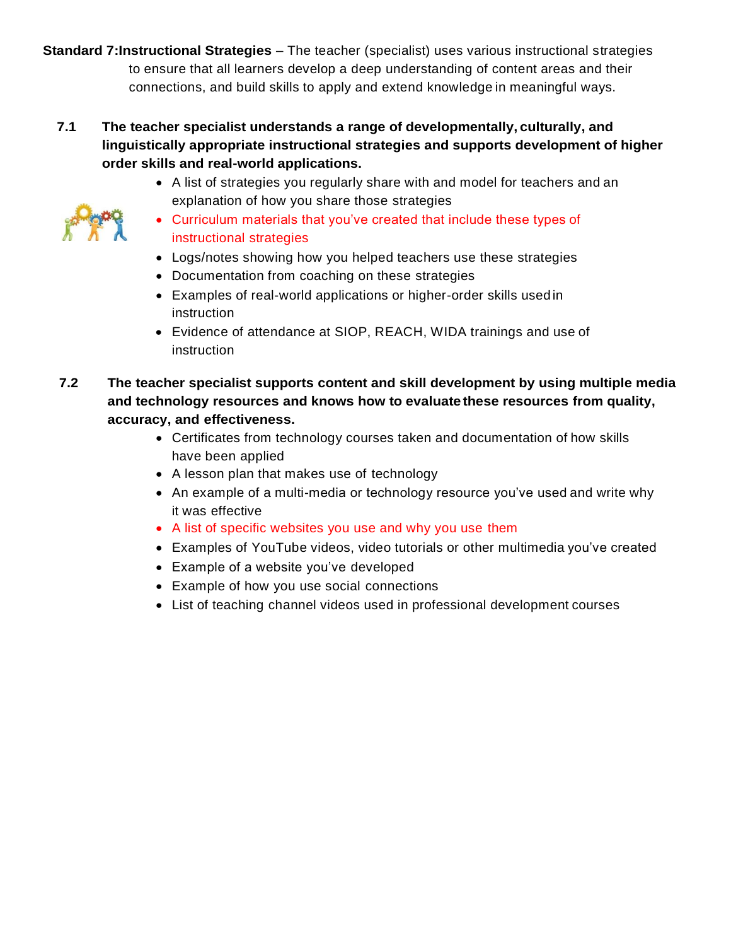**Standard 7:Instructional Strategies** – The teacher (specialist) uses various instructional strategies to ensure that all learners develop a deep understanding of content areas and their connections, and build skills to apply and extend knowledge in meaningful ways.

# **7.1 The teacher specialist understands a range of developmentally, culturally, and linguistically appropriate instructional strategies and supports development of higher order skills and real-world applications.**

- A list of strategies you regularly share with and model for teachers and an explanation of how you share those strategies
- Curriculum materials that you've created that include these types of instructional strategies
- Logs/notes showing how you helped teachers use these strategies
- Documentation from coaching on these strategies
- Examples of real-world applications or higher-order skills usedin instruction
- Evidence of attendance at SIOP, REACH, WIDA trainings and use of instruction
- **7.2 The teacher specialist supports content and skill development by using multiple media and technology resources and knows how to evaluate these resources from quality, accuracy, and effectiveness.**
	- Certificates from technology courses taken and documentation of how skills have been applied
	- A lesson plan that makes use of technology
	- An example of a multi-media or technology resource you've used and write why it was effective
	- A list of specific websites you use and why you use them
	- Examples of YouTube videos, video tutorials or other multimedia you've created
	- Example of a website you've developed
	- Example of how you use social connections
	- List of teaching channel videos used in professional development courses

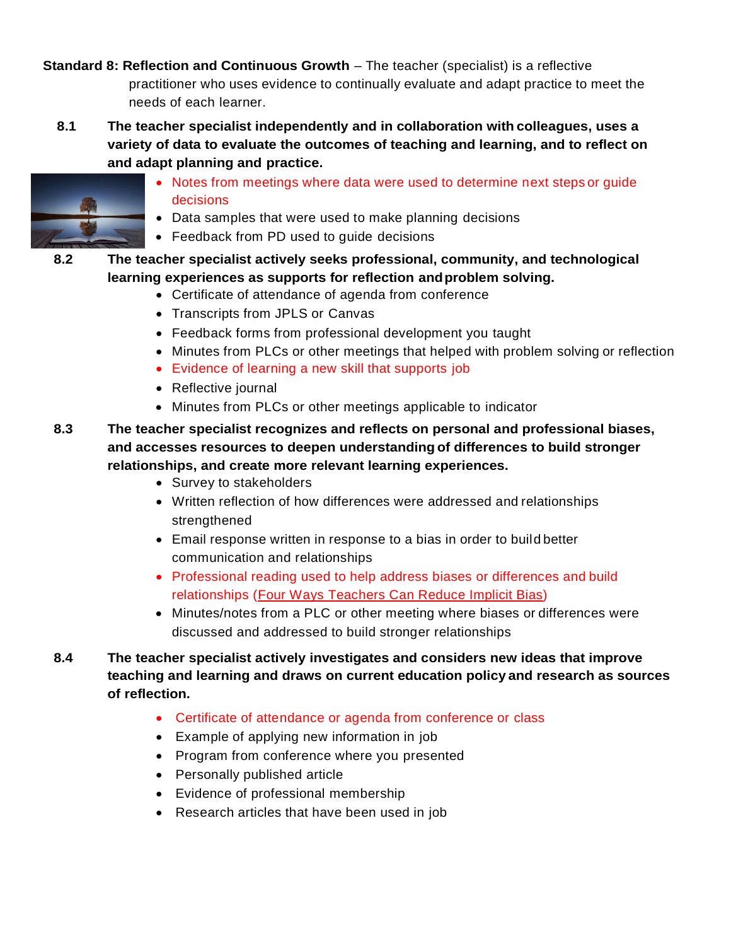**Standard 8: Reflection and Continuous Growth** – The teacher (specialist) is a reflective practitioner who uses evidence to continually evaluate and adapt practice to meet the needs of each learner.

**8.1 The teacher specialist independently and in collaboration with colleagues, uses a variety of data to evaluate the outcomes of teaching and learning, and to reflect on and adapt planning and practice.**



- Notes from meetings where data were used to determine next steps or guide decisions
- Data samples that were used to make planning decisions
- Feedback from PD used to guide decisions
- **8.2 The teacher specialist actively seeks professional, community, and technological learning experiences as supports for reflection andproblem solving.**
	- Certificate of attendance of agenda from conference
	- Transcripts from JPLS or Canvas
	- Feedback forms from professional development you taught
	- Minutes from PLCs or other meetings that helped with problem solving or reflection
	- Evidence of learning a new skill that supports job
	- Reflective journal
	- Minutes from PLCs or other meetings applicable to indicator
- **8.3 The teacher specialist recognizes and reflects on personal and professional biases, and accesses resources to deepen understanding of differences to build stronger relationships, and create more relevant learning experiences.**
	- Survey to stakeholders
	- Written reflection of how differences were addressed and relationships strenathened
	- Email response written in response to a bias in order to build better communication and relationships
	- Professional reading used to help address biases or differences and build relationships (Four Ways Teachers Can Reduce Implicit Bias)
	- Minutes/notes from a PLC or other meeting where biases or differences were discussed and addressed to build stronger relationships
- **8.4 The teacher specialist actively investigates and considers new ideas that improve teaching and learning and draws on current education policy and research as sources of reflection.**
	- Certificate of attendance or agenda from conference or class
	- Example of applying new information in job
	- Program from conference where you presented
	- Personally published article
	- Evidence of professional membership
	- Research articles that have been used in job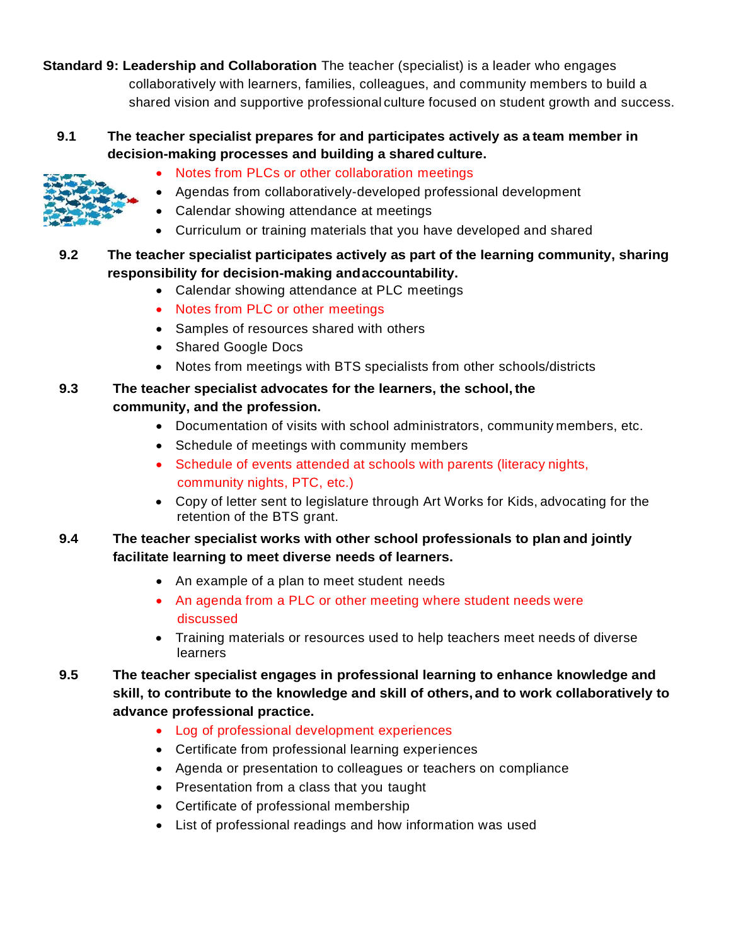**Standard 9: Leadership and Collaboration** The teacher (specialist) is a leader who engages collaboratively with learners, families, colleagues, and community members to build a shared vision and supportive professional culture focused on student growth and success.

# **9.1 The teacher specialist prepares for and participates actively as a team member in decision-making processes and building a shared culture.**



- Notes from PLCs or other collaboration meetings
- Agendas from collaboratively-developed professional development
- Calendar showing attendance at meetings
- Curriculum or training materials that you have developed and shared

# **9.2 The teacher specialist participates actively as part of the learning community, sharing responsibility for decision-making andaccountability.**

- Calendar showing attendance at PLC meetings
- Notes from PLC or other meetings
- Samples of resources shared with others
- Shared Google Docs
- Notes from meetings with BTS specialists from other schools/districts

## **9.3 The teacher specialist advocates for the learners, the school,the community, and the profession.**

- Documentation of visits with school administrators, community members, etc.
- Schedule of meetings with community members
- Schedule of events attended at schools with parents (literacy nights, community nights, PTC, etc.)
- Copy of letter sent to legislature through Art Works for Kids, advocating for the retention of the BTS grant.

# **9.4 The teacher specialist works with other school professionals to plan and jointly facilitate learning to meet diverse needs of learners.**

- An example of a plan to meet student needs
- An agenda from a PLC or other meeting where student needs were discussed
- Training materials or resources used to help teachers meet needs of diverse **learners**
- **9.5 The teacher specialist engages in professional learning to enhance knowledge and skill, to contribute to the knowledge and skill of others, and to work collaboratively to advance professional practice.**
	- Log of professional development experiences
	- Certificate from professional learning experiences
	- Agenda or presentation to colleagues or teachers on compliance
	- Presentation from a class that you taught
	- Certificate of professional membership
	- List of professional readings and how information was used